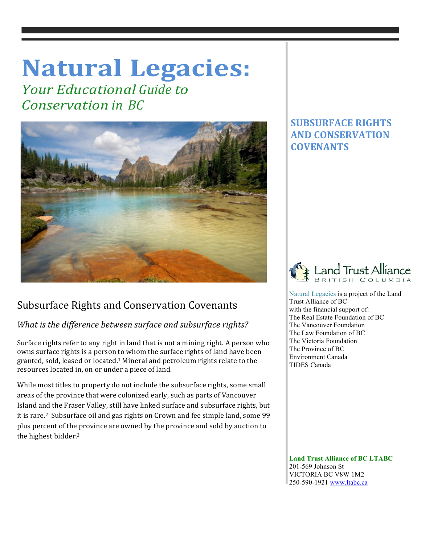# **Natural Legacies:**

*Your Educational Guide to Conservation in BC*



## Subsurface Rights and Conservation Covenants

## *What is the difference between surface and subsurface rights?*

Surface rights refer to any right in land that is not a mining right. A person who owns surface rights is a person to whom the surface rights of land have been granted, sold, leased or located.<sup>1</sup> Mineral and petroleum rights relate to the resources located in, on or under a piece of land.

While most titles to property do not include the subsurface rights, some small areas of the province that were colonized early, such as parts of Vancouver Island and the Fraser Valley, still have linked surface and subsurface rights, but it is rare.<sup>2</sup> Subsurface oil and gas rights on Crown and fee simple land, some 99 plus percent of the province are owned by the province and sold by auction to the highest bidder.<sup>3</sup>

## **SUBSURFACE RIGHTS AND CONSERVATION COVENANTS**



 Natural Legacies is a project of the Land Trust Alliance of BC with the financial support of: The Real Estate Foundation of BC The Vancouver Foundation The Law Foundation of BC The Victoria Foundation The Province of BC Environment Canada TIDES Canada

 **Land Trust Alliance of BC LTABC** 201-569 Johnson St VICTORIA BC V8W 1M2 250-590-1921 www.ltabc.ca